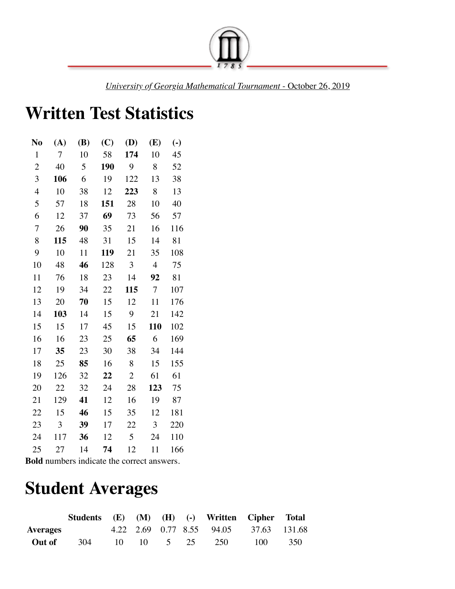

*University of Georgia Mathematical Tournament* - October 26, 2019

## **Written Test Statistics**

| No             | (A)    | (B) | (C) | (D)            | (E)            | $\left( \cdot \right)$ |
|----------------|--------|-----|-----|----------------|----------------|------------------------|
| $\mathbf{1}$   | $\tau$ | 10  | 58  | 174            | 10             | 45                     |
| $\overline{c}$ | 40     | 5   | 190 | 9              | 8              | 52                     |
| 3              | 106    | 6   | 19  | 122            | 13             | 38                     |
| 4              | 10     | 38  | 12  | 223            | 8              | 13                     |
| 5              | 57     | 18  | 151 | 28             | 10             | 40                     |
| 6              | 12     | 37  | 69  | 73             | 56             | 57                     |
| 7              | 26     | 90  | 35  | 21             | 16             | 116                    |
| 8              | 115    | 48  | 31  | 15             | 14             | 81                     |
| 9              | 10     | 11  | 119 | 21             | 35             | 108                    |
| 10             | 48     | 46  | 128 | 3              | $\overline{4}$ | 75                     |
| 11             | 76     | 18  | 23  | 14             | 92             | 81                     |
| 12             | 19     | 34  | 22  | 115            | $\overline{7}$ | 107                    |
| 13             | 20     | 70  | 15  | 12             | 11             | 176                    |
| 14             | 103    | 14  | 15  | 9              | 21             | 142                    |
| 15             | 15     | 17  | 45  | 15             | <b>110</b>     | 102                    |
| 16             | 16     | 23  | 25  | 65             | 6              | 169                    |
| 17             | 35     | 23  | 30  | 38             | 34             | 144                    |
| 18             | 25     | 85  | 16  | 8              | 15             | 155                    |
| 19             | 126    | 32  | 22  | $\overline{2}$ | 61             | 61                     |
| 20             | 22     | 32  | 24  | 28             | 123            | 75                     |
| 21             | 129    | 41  | 12  | 16             | 19             | 87                     |
| 22             | 15     | 46  | 15  | 35             | 12             | 181                    |
| 23             | 3      | 39  | 17  | 22             | $\overline{3}$ | 220                    |
| 24             | 117    | 36  | 12  | 5              | 24             | 110                    |
| 25             | 27     | 14  | 74  | 12             | 11             | 166                    |

**Bold** numbers indicate the correct answers.

## **Student Averages**

|                 |     |                       |  | Students (E) (M) (H) (-) Written Cipher Total |       |     |
|-----------------|-----|-----------------------|--|-----------------------------------------------|-------|-----|
| <b>Averages</b> |     |                       |  | 4.22 2.69 0.77 8.55 94.05 37.63 131.68        |       |     |
| Out of          | 304 | $10 \t 10 \t 5 \t 25$ |  | 250                                           | 100 — | 350 |